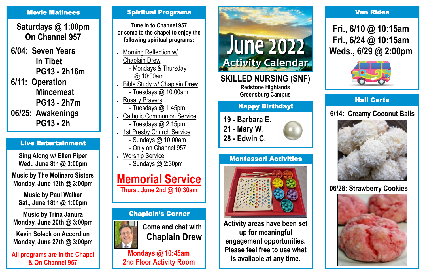#### Hall Carts

### **6/14: Creamy Coconut Balls**



- **19 - Barbara E.**
- **21 - Mary W.**
- **28 - Edwin C.**



# Happy Birthday!

**SKILLED NURSING (SNF)**

**Redstone Highlands Greensburg Campus**

# Chaplain's Corner



**Come and chat with Chaplain Drew**

**Mondays @ 10:45am 2nd Floor Activity Room**



# Montessori Activities



**Activity areas have been set up for meaningful engagement opportunities. Please feel free to use what is available at any time.**

#### Van Rides

# **Fri., 6/10 @ 10:15am Fri., 6/24 @ 10:15am Weds., 6/29 @ 2:00pm**



**Sing Along w/ Ellen Piper Wed., June 8th @ 3:00pm ——————————————————————**

**Music by The Molinaro Sisters Monday, June 13th @ 3:00pm**

**—————————————————————— Music by Paul Walker Sat., June 18th @ 1:00pm**

**—————————————————————— Music by Trina Janura Monday, June 20th @ 3:00pm**

**—————————————————————— Kevin Soleck on Accordion Monday, June 27th @ 3:00pm**

**All programs are in the Chapel & On Channel 957**

#### **Movie Matinees Communist Construction Spiritual Programs**

# Live Entertainment

**Tune in to Channel 957 or come to the chapel to enjoy the following spiritual programs:**

- Morning Reflection w/ Chaplain Drew - Mondays & Thursday
- @ 10:00am Bible Study w/ Chaplain Drew
	- Tuesdays @ 10:00am
- Rosary Prayers - Tuesdays @ 1:45pm
- Catholic Communion Service
	- Tuesdays @ 2:15pm
- 1st Presby Church Service
	- Sundays @ 10:00am
	- Only on Channel 957
	- Worship Service - Sundays @ 2:30pm

# **Memorial Service**

**Thurs., June 2nd @ 10:30am** 

**Saturdays @ 1:00pm On Channel 957**

**6/04: Seven Years In Tibet PG13 - 2h16m 6/11: Operation**

**Mincemeat PG13 - 2h7m**

**06/25: Awakenings PG13 - 2h**

# **06/28: Strawberry Cookies**